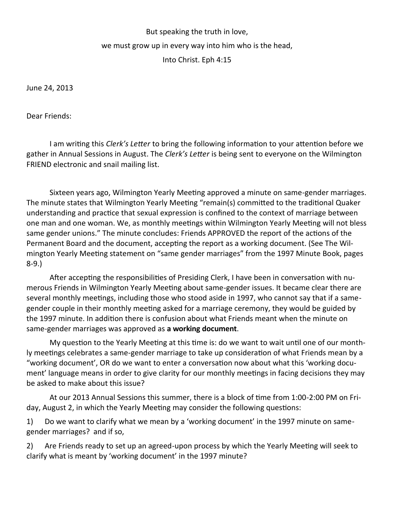## But speaking the truth in love, we must grow up in every way into him who is the head, Into Christ. Eph 4:15

June 24, 2013

Dear Friends:

I am writing this *Clerk's Letter* to bring the following information to your attention before we gather in Annual Sessions in August. The *Clerk's Letter* is being sent to everyone on the Wilmington FRIEND electronic and snail mailing list.

Sixteen years ago, Wilmington Yearly Meeting approved a minute on same-gender marriages. The minute states that Wilmington Yearly Meeting "remain(s) committed to the traditional Quaker understanding and practice that sexual expression is confined to the context of marriage between one man and one woman. We, as monthly meetings within Wilmington Yearly Meeting will not bless same gender unions." The minute concludes: Friends APPROVED the report of the actions of the Permanent Board and the document, accepting the report as a working document. (See The Wilmington Yearly Meeting statement on "same gender marriages" from the 1997 Minute Book, pages 8-9.)

After accepting the responsibilities of Presiding Clerk, I have been in conversation with numerous Friends in Wilmington Yearly Meeting about same-gender issues. It became clear there are several monthly meetings, including those who stood aside in 1997, who cannot say that if a samegender couple in their monthly meeting asked for a marriage ceremony, they would be guided by the 1997 minute. In addition there is confusion about what Friends meant when the minute on same-gender marriages was approved as **a working document**.

My question to the Yearly Meeting at this time is: do we want to wait until one of our monthly meetings celebrates a same-gender marriage to take up consideration of what Friends mean by a "working document', OR do we want to enter a conversation now about what this 'working document' language means in order to give clarity for our monthly meetings in facing decisions they may be asked to make about this issue?

At our 2013 Annual Sessions this summer, there is a block of time from 1:00-2:00 PM on Friday, August 2, in which the Yearly Meeting may consider the following questions:

1) Do we want to clarify what we mean by a 'working document' in the 1997 minute on samegender marriages? and if so,

2) Are Friends ready to set up an agreed-upon process by which the Yearly Meeting will seek to clarify what is meant by 'working document' in the 1997 minute?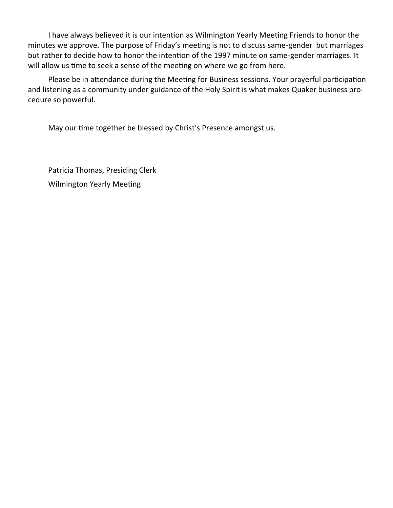I have always believed it is our intention as Wilmington Yearly Meeting Friends to honor the minutes we approve. The purpose of Friday's meeting is not to discuss same-gender but marriages but rather to decide how to honor the intention of the 1997 minute on same-gender marriages. It will allow us time to seek a sense of the meeting on where we go from here.

Please be in attendance during the Meeting for Business sessions. Your prayerful participation and listening as a community under guidance of the Holy Spirit is what makes Quaker business procedure so powerful.

May our time together be blessed by Christ's Presence amongst us.

Patricia Thomas, Presiding Clerk Wilmington Yearly Meeting